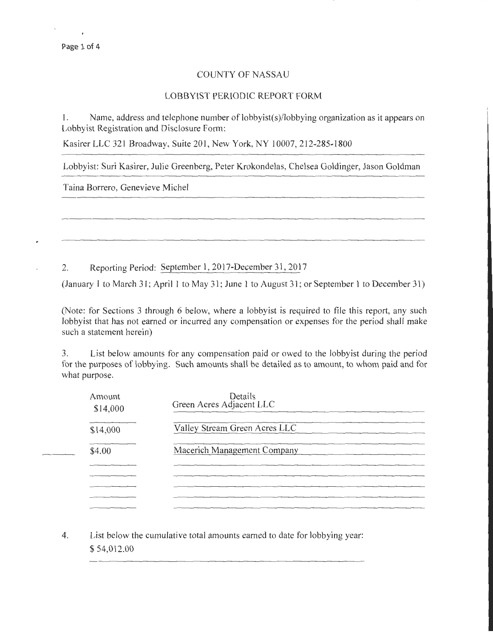## COUNTY OF NASSAU

## LOBBYIST PERIODIC REPORT FORM

I. Name, address and telephone number of lobbyist(s)/lobbying organization as it appears on Lobbyist Registration and Disclosure Form:

Kasirer LLC 321 Broadway, Suite 201, New York, NY 10007, 212-285-1800

Lobbyist: Suri Kasirer, Julie Greenberg, Peter Krokondelas, Chelsea Goldinger, Jason Goldman

Taina Borrero, Genevieve Michel

2. Reporting Period: September I, 2017-December 31, 2017

(January 1 to March 31; April 1 to May 31; June 1 to August 31; or September 1 to December 31)

(Note: for Sections 3 through 6 below, where a lobbyist is required to file this report, any such lobbyist that has not earned or incurred any compensation or expenses for the period shall make such a statement herein)

3. List below amounts for any compensation paid or owed to the lobbyist during the period for the purposes of lobbying. Such amounts shall be detailed as to amount, to whom paid and for what purpose.

| Amount<br>\$14,000 | Details<br>Green Acres Adjacent LLC |
|--------------------|-------------------------------------|
| \$14,000           | Valley Stream Green Acres LLC       |
| \$4.00             | Macerich Management Company         |
|                    |                                     |
|                    |                                     |
|                    |                                     |

4. List below the cumulative total amounts earned to date for lobbying year: \$ 54,012.00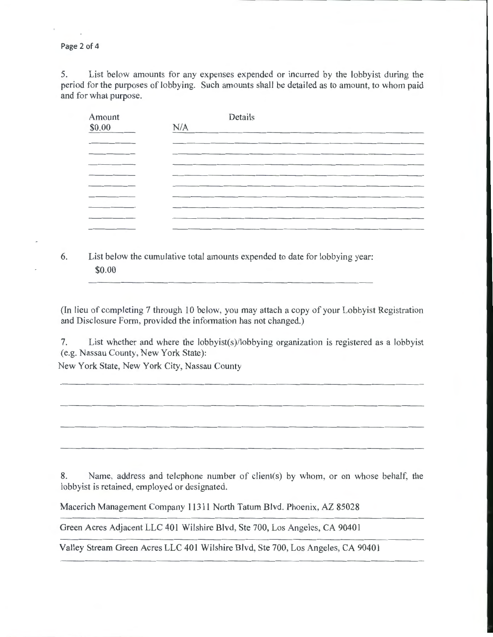Page 2 of 4

5. List below amounts for any expenses expended or incurred by the lobbyist during the period for the purposes of lobbying. Such amounts shall be detailed as to amount, to whom paid and for what purpose.

| Amount<br>\$0.00                      | Details<br>N/A |
|---------------------------------------|----------------|
| _____                                 |                |
| and the control of the control of the |                |
|                                       |                |
|                                       |                |
|                                       |                |
| _____                                 |                |
|                                       |                |

6. List below the cumulative total amounts expended to date for lobbying year: \$0.00

(In lieu of completing 7 through 10 below, you may attach a copy of your Lobbyist Registration and Disclosure Form, provided the information has not changed.)

7. List whether and where the lobbyist(s)/lobbying organization is registered as a lobbyist (e.g. Nassau County, New York State):

New York State, New York City, Nassau County

8. Name, address and telephone number of client(s) by whom, or on whose behalf, the lobbyist is retained, employed or designated.

Macerich Management Company 11311 North Tatum Blvd. Phoenix, AZ 85028

Green Acres Adjacent LLC 401 Wilshire Blvd, Ste 700, Los Angeles, CA 90401

Valley Stream Green Acres LLC 401 Wilshire Blvd, Ste 700, Los Angeles, CA 90401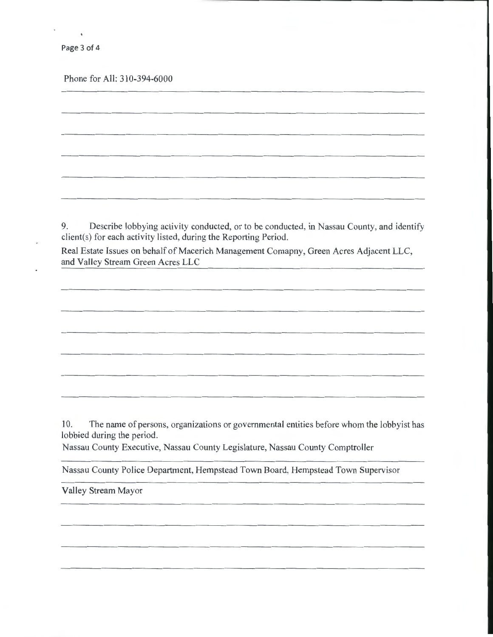Page 3 of 4

Phone for All: 310-394-6000

9. Describe lobbying activity conducted, or to be conducted, in Nassau County, and identify client(s) for each activity listed, during the Reporting Period.

Real Estate Issues on behalf of Macerich Management Comapny, Green Acres Adjacent LLC, and Valley Stream Green Acres LLC

10. The name of persons, organizations or governmental entities before whom the lobbyist has lobbied during the period.

Nassau County Executive, Nassau County Legislature, Nassau County Comptroller

Nassau County Police Department, Hempstead Town Board, Hempstead Town Supervisor

Valley Stream Mayor